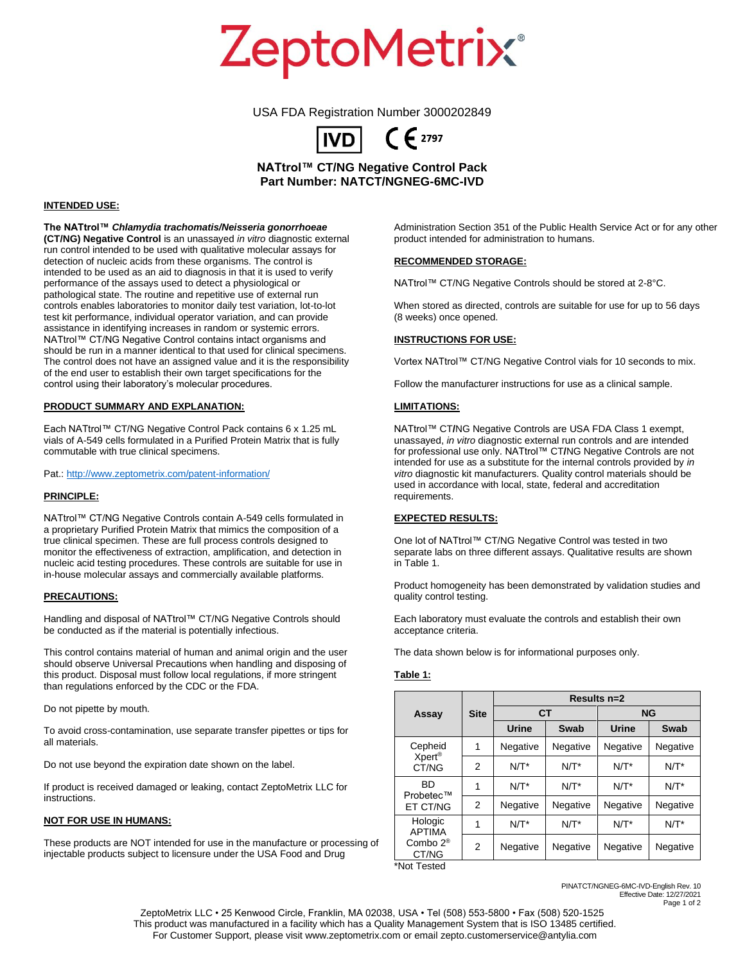ZeptoMetrix®

## USA FDA Registration Number 3000202849



**NATtrol™ CT/NG Negative Control Pack Part Number: NATCT/NGNEG-6MC-IVD**

#### **INTENDED USE:**

**The NATtrol™** *Chlamydia trachomatis/Neisseria gonorrhoeae* **(CT/NG) Negative Control** is an unassayed *in vitro* diagnostic external run control intended to be used with qualitative molecular assays for detection of nucleic acids from these organisms. The control is intended to be used as an aid to diagnosis in that it is used to verify performance of the assays used to detect a physiological or pathological state. The routine and repetitive use of external run controls enables laboratories to monitor daily test variation, lot-to-lot test kit performance, individual operator variation, and can provide assistance in identifying increases in random or systemic errors. NATtrol™ CT/NG Negative Control contains intact organisms and should be run in a manner identical to that used for clinical specimens. The control does not have an assigned value and it is the responsibility of the end user to establish their own target specifications for the control using their laboratory's molecular procedures.

## **PRODUCT SUMMARY AND EXPLANATION:**

Each NATtrol™ CT/NG Negative Control Pack contains 6 x 1.25 mL vials of A-549 cells formulated in a Purified Protein Matrix that is fully commutable with true clinical specimens.

Pat.[: http://www.zeptometrix.com/patent-information/](http://www.zeptometrix.com/patent-information/)

## **PRINCIPLE:**

NATtrol™ CT/NG Negative Controls contain A-549 cells formulated in a proprietary Purified Protein Matrix that mimics the composition of a true clinical specimen. These are full process controls designed to monitor the effectiveness of extraction, amplification, and detection in nucleic acid testing procedures. These controls are suitable for use in in-house molecular assays and commercially available platforms.

#### **PRECAUTIONS:**

Handling and disposal of NATtrol™ CT/NG Negative Controls should be conducted as if the material is potentially infectious.

This control contains material of human and animal origin and the user should observe Universal Precautions when handling and disposing of this product. Disposal must follow local regulations, if more stringent than regulations enforced by the CDC or the FDA.

Do not pipette by mouth.

To avoid cross-contamination, use separate transfer pipettes or tips for all materials.

Do not use beyond the expiration date shown on the label.

If product is received damaged or leaking, contact ZeptoMetrix LLC for instructions.

## **NOT FOR USE IN HUMANS:**

These products are NOT intended for use in the manufacture or processing of injectable products subject to licensure under the USA Food and Drug

Administration Section 351 of the Public Health Service Act or for any other product intended for administration to humans.

#### **RECOMMENDED STORAGE:**

NATtrol™ CT/NG Negative Controls should be stored at 2-8°C.

When stored as directed, controls are suitable for use for up to 56 days (8 weeks) once opened.

## **INSTRUCTIONS FOR USE:**

Vortex NATtrol™ CT/NG Negative Control vials for 10 seconds to mix.

Follow the manufacturer instructions for use as a clinical sample.

#### **LIMITATIONS:**

NATtrol™ CT**/**NG Negative Controls are USA FDA Class 1 exempt, unassayed, *in vitro* diagnostic external run controls and are intended for professional use only. NATtrol™ CT**/**NG Negative Controls are not intended for use as a substitute for the internal controls provided by *in vitro* diagnostic kit manufacturers. Quality control materials should be used in accordance with local, state, federal and accreditation requirements.

## **EXPECTED RESULTS:**

One lot of NATtrol™ CT/NG Negative Control was tested in two separate labs on three different assays. Qualitative results are shown in Table 1.

Product homogeneity has been demonstrated by validation studies and quality control testing.

Each laboratory must evaluate the controls and establish their own acceptance criteria.

The data shown below is for informational purposes only.

## **Table 1:**

| <b>Site</b> | Results n=2 |          |           |          |
|-------------|-------------|----------|-----------|----------|
|             | <b>CT</b>   |          | <b>NG</b> |          |
|             | Urine       | Swab     | Urine     | Swab     |
| 1           | Negative    | Negative | Negative  | Negative |
| 2           | $N/T^*$     | $N/T^*$  | $N/T^*$   | $N/T^*$  |
| 1           | $N/T^*$     | $N/T^*$  | $N/T^*$   | $N/T^*$  |
| 2           | Negative    | Negative | Negative  | Negative |
| 1           | $N/T^*$     | $N/T^*$  | $N/T^*$   | $N/T^*$  |
| 2           | Negative    | Negative | Negative  | Negative |
|             |             |          |           |          |

\*Not Tested

PINATCT/NGNEG-6MC-IVD-English Rev. 10 Effective Date: 12/27/2021

Page 1 of 2

ZeptoMetrix LLC • 25 Kenwood Circle, Franklin, MA 02038, USA • Tel (508) 553-5800 • Fax (508) 520-1525 This product was manufactured in a facility which has a Quality Management System that is ISO 13485 certified. For Customer Support, please visit www.zeptometrix.com or email zepto.customerservice@antylia.com